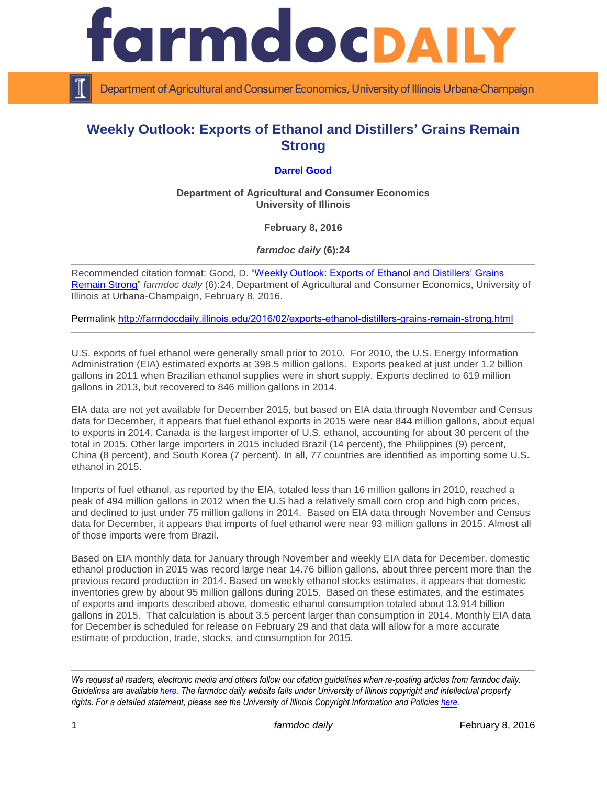

Department of Agricultural and Consumer Economics, University of Illinois Urbana-Champaign

## **Weekly Outlook: Exports of Ethanol and Distillers' Grains Remain Strong**

## **[Darrel Good](http://farmdoc.illinois.edu/good/)**

**Department of Agricultural and Consumer Economics University of Illinois**

**February 8, 2016**

*farmdoc daily* **(6):24**

Recommended citation format: Good, D. "Weekly Outlook: Exports of Ethanol and Distillers' Grains [Remain Strong"](http://farmdocdaily.illinois.edu/2016/02/exports-ethanol-distillers-grains-remain-strong.html) *farmdoc daily* (6):24, Department of Agricultural and Consumer Economics, University of Illinois at Urbana-Champaign, February 8, 2016.

Permalink <http://farmdocdaily.illinois.edu/2016/02/exports-ethanol-distillers-grains-remain-strong.html>

U.S. exports of fuel ethanol were generally small prior to 2010. For 2010, the U.S. Energy Information Administration (EIA) estimated exports at 398.5 million gallons. Exports peaked at just under 1.2 billion gallons in 2011 when Brazilian ethanol supplies were in short supply. Exports declined to 619 million gallons in 2013, but recovered to 846 million gallons in 2014.

EIA data are not yet available for December 2015, but based on EIA data through November and Census data for December, it appears that fuel ethanol exports in 2015 were near 844 million gallons, about equal to exports in 2014. Canada is the largest importer of U.S. ethanol, accounting for about 30 percent of the total in 2015. Other large importers in 2015 included Brazil (14 percent), the Philippines (9) percent, China (8 percent), and South Korea (7 percent). In all, 77 countries are identified as importing some U.S. ethanol in 2015.

Imports of fuel ethanol, as reported by the EIA, totaled less than 16 million gallons in 2010, reached a peak of 494 million gallons in 2012 when the U.S had a relatively small corn crop and high corn prices, and declined to just under 75 million gallons in 2014. Based on EIA data through November and Census data for December, it appears that imports of fuel ethanol were near 93 million gallons in 2015. Almost all of those imports were from Brazil.

Based on EIA monthly data for January through November and weekly EIA data for December, domestic ethanol production in 2015 was record large near 14.76 billion gallons, about three percent more than the previous record production in 2014. Based on weekly ethanol stocks estimates, it appears that domestic inventories grew by about 95 million gallons during 2015. Based on these estimates, and the estimates of exports and imports described above, domestic ethanol consumption totaled about 13.914 billion gallons in 2015. That calculation is about 3.5 percent larger than consumption in 2014. Monthly EIA data for December is scheduled for release on February 29 and that data will allow for a more accurate estimate of production, trade, stocks, and consumption for 2015.

*We request all readers, electronic media and others follow our citation guidelines when re-posting articles from farmdoc daily. Guidelines are available [here.](http://farmdocdaily.illinois.edu/citationguide.html) The farmdoc daily website falls under University of Illinois copyright and intellectual property rights. For a detailed statement, please see the University of Illinois Copyright Information and Policies [here.](http://www.cio.illinois.edu/policies/copyright/)*